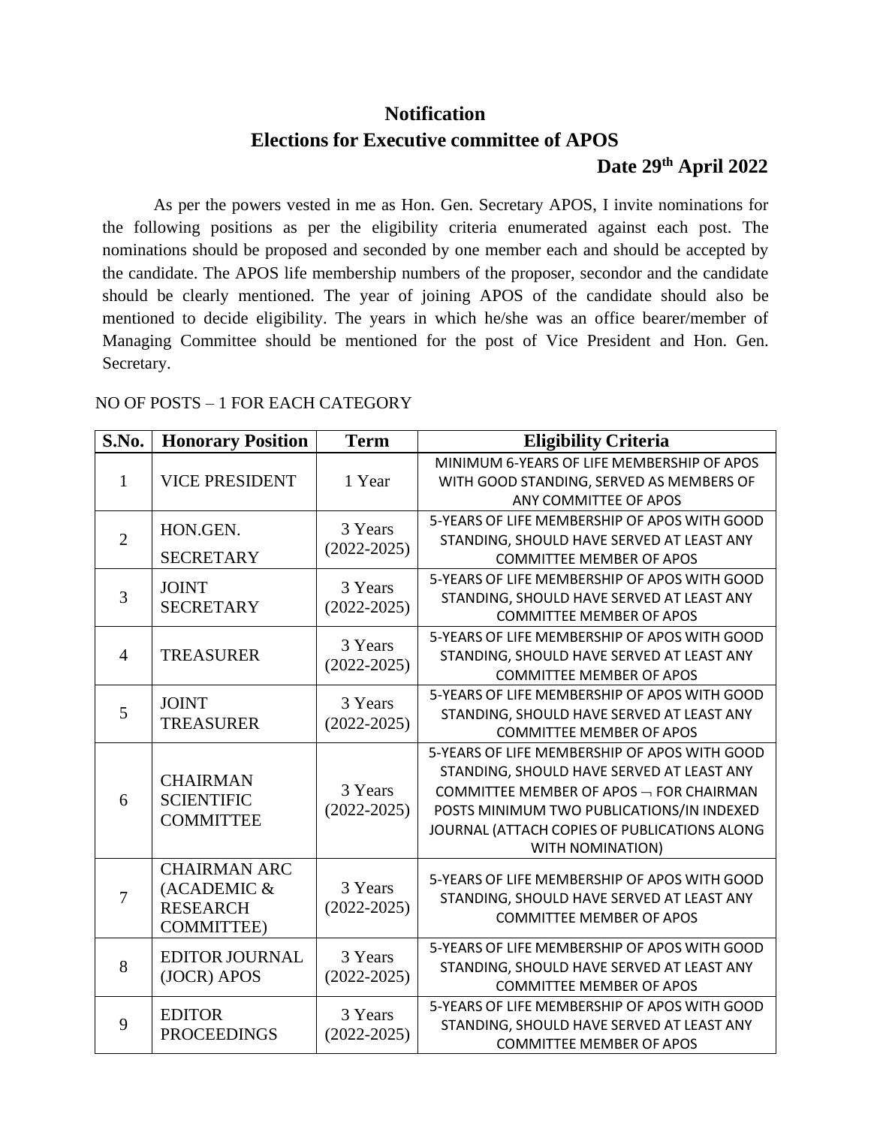## **Notification**

# **Elections for Executive committee of APOS Date 29th April 2022**

As per the powers vested in me as Hon. Gen. Secretary APOS, I invite nominations for the following positions as per the eligibility criteria enumerated against each post. The nominations should be proposed and seconded by one member each and should be accepted by the candidate. The APOS life membership numbers of the proposer, secondor and the candidate should be clearly mentioned. The year of joining APOS of the candidate should also be mentioned to decide eligibility. The years in which he/she was an office bearer/member of Managing Committee should be mentioned for the post of Vice President and Hon. Gen. Secretary.

#### NO OF POSTS – 1 FOR EACH CATEGORY

| S.No.          | <b>Honorary Position</b>                                                   | <b>Term</b>                | <b>Eligibility Criteria</b>                                                                                                                                                                                                                                       |
|----------------|----------------------------------------------------------------------------|----------------------------|-------------------------------------------------------------------------------------------------------------------------------------------------------------------------------------------------------------------------------------------------------------------|
| 1              | <b>VICE PRESIDENT</b>                                                      | 1 Year                     | MINIMUM 6-YEARS OF LIFE MEMBERSHIP OF APOS<br>WITH GOOD STANDING, SERVED AS MEMBERS OF<br>ANY COMMITTEE OF APOS                                                                                                                                                   |
| $\overline{2}$ | HON.GEN.<br><b>SECRETARY</b>                                               | 3 Years<br>$(2022 - 2025)$ | 5-YEARS OF LIFE MEMBERSHIP OF APOS WITH GOOD<br>STANDING, SHOULD HAVE SERVED AT LEAST ANY<br><b>COMMITTEE MEMBER OF APOS</b>                                                                                                                                      |
| 3              | <b>JOINT</b><br><b>SECRETARY</b>                                           | 3 Years<br>$(2022 - 2025)$ | 5-YEARS OF LIFE MEMBERSHIP OF APOS WITH GOOD<br>STANDING, SHOULD HAVE SERVED AT LEAST ANY<br><b>COMMITTEE MEMBER OF APOS</b>                                                                                                                                      |
| $\overline{4}$ | <b>TREASURER</b>                                                           | 3 Years<br>$(2022 - 2025)$ | 5-YEARS OF LIFE MEMBERSHIP OF APOS WITH GOOD<br>STANDING, SHOULD HAVE SERVED AT LEAST ANY<br><b>COMMITTEE MEMBER OF APOS</b>                                                                                                                                      |
| 5              | <b>JOINT</b><br><b>TREASURER</b>                                           | 3 Years<br>$(2022 - 2025)$ | 5-YEARS OF LIFE MEMBERSHIP OF APOS WITH GOOD<br>STANDING, SHOULD HAVE SERVED AT LEAST ANY<br><b>COMMITTEE MEMBER OF APOS</b>                                                                                                                                      |
| 6              | <b>CHAIRMAN</b><br><b>SCIENTIFIC</b><br><b>COMMITTEE</b>                   | 3 Years<br>$(2022 - 2025)$ | 5-YEARS OF LIFE MEMBERSHIP OF APOS WITH GOOD<br>STANDING, SHOULD HAVE SERVED AT LEAST ANY<br>COMMITTEE MEMBER OF APOS $\neg$ FOR CHAIRMAN<br>POSTS MINIMUM TWO PUBLICATIONS/IN INDEXED<br>JOURNAL (ATTACH COPIES OF PUBLICATIONS ALONG<br><b>WITH NOMINATION)</b> |
| $\overline{7}$ | <b>CHAIRMAN ARC</b><br>(ACADEMIC &<br><b>RESEARCH</b><br><b>COMMITTEE)</b> | 3 Years<br>$(2022 - 2025)$ | 5-YEARS OF LIFE MEMBERSHIP OF APOS WITH GOOD<br>STANDING, SHOULD HAVE SERVED AT LEAST ANY<br><b>COMMITTEE MEMBER OF APOS</b>                                                                                                                                      |
| 8              | <b>EDITOR JOURNAL</b><br>(JOCR) APOS                                       | 3 Years<br>$(2022 - 2025)$ | 5-YEARS OF LIFE MEMBERSHIP OF APOS WITH GOOD<br>STANDING, SHOULD HAVE SERVED AT LEAST ANY<br><b>COMMITTEE MEMBER OF APOS</b>                                                                                                                                      |
| 9              | <b>EDITOR</b><br><b>PROCEEDINGS</b>                                        | 3 Years<br>$(2022 - 2025)$ | 5-YEARS OF LIFE MEMBERSHIP OF APOS WITH GOOD<br>STANDING, SHOULD HAVE SERVED AT LEAST ANY<br><b>COMMITTEE MEMBER OF APOS</b>                                                                                                                                      |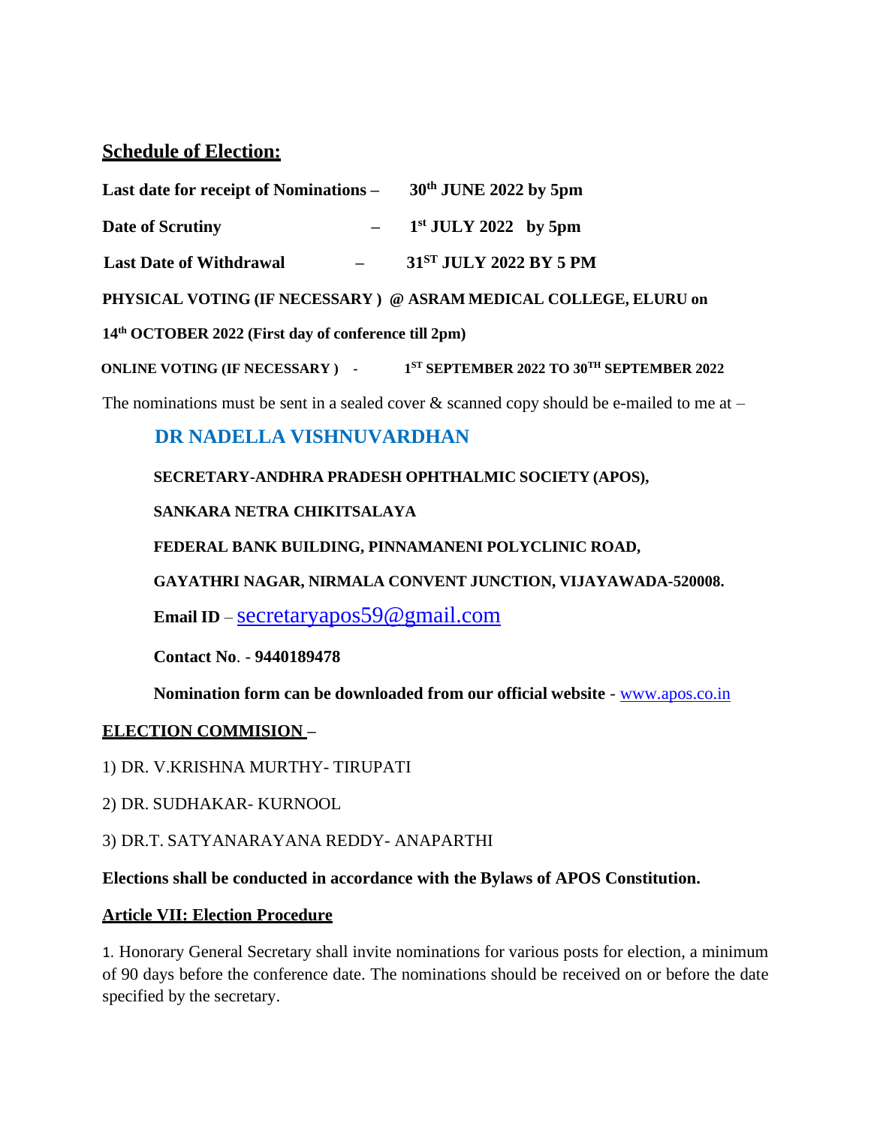## **Schedule of Election:**

| Last date for receipt of Nominations $-$ 30 <sup>th</sup> JUNE 2022 by 5pm |                                      |
|----------------------------------------------------------------------------|--------------------------------------|
| Date of Scrutiny                                                           | $-$ 1 <sup>st</sup> JULY 2022 by 5pm |
| <b>Last Date of Withdrawal</b>                                             | 31 <sup>ST</sup> JULY 2022 BY 5 PM   |

 **PHYSICAL VOTING (IF NECESSARY ) @ ASRAM MEDICAL COLLEGE, ELURU on**

 **14th OCTOBER 2022 (First day of conference till 2pm)**

 **ONLINE VOTING (IF NECESSARY )** -**ST SEPTEMBER 2022 TO 30TH SEPTEMBER 2022**

The nominations must be sent in a sealed cover  $\&$  scanned copy should be e-mailed to me at –

## **DR NADELLA VISHNUVARDHAN**

### **SECRETARY-ANDHRA PRADESH OPHTHALMIC SOCIETY (APOS),**

### **SANKARA NETRA CHIKITSALAYA**

**FEDERAL BANK BUILDING, PINNAMANENI POLYCLINIC ROAD,**

**GAYATHRI NAGAR, NIRMALA CONVENT JUNCTION, VIJAYAWADA-520008.**

**Email ID** – [secretaryapos59@gmail.com](mailto:secretaryapos59@gmail.com)

**Contact No**. - **9440189478**

**Nomination form can be downloaded from our official website** - [www.apos.co.in](http://www.apos.co.in/)

## **ELECTION COMMISION –**

1) DR. V.KRISHNA MURTHY- TIRUPATI

2) DR. SUDHAKAR- KURNOOL

3) DR.T. SATYANARAYANA REDDY- ANAPARTHI

### **Elections shall be conducted in accordance with the Bylaws of APOS Constitution.**

## **Article VII: Election Procedure**

1. Honorary General Secretary shall invite nominations for various posts for election, a minimum of 90 days before the conference date. The nominations should be received on or before the date specified by the secretary.